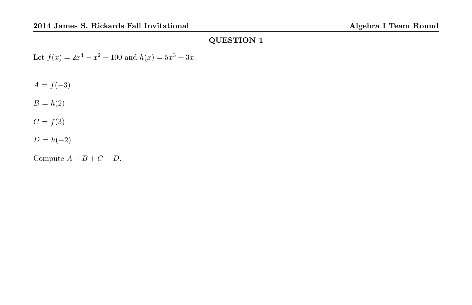Let  $f(x) = 2x^4 - x^2 + 100$  and  $h(x) = 5x^3 + 3x$ .

 $A = f(-3)$ 

 $B = h(2)$ 

 $C = f(3)$ 

 $D = h(-2)$ 

Compute  $A + B + C + D$ .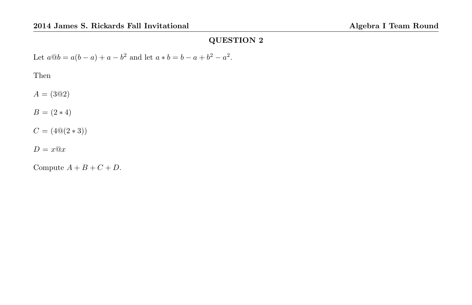Let  $a@b = a(b - a) + a - b^2$  and let  $a * b = b - a + b^2 - a^2$ .

Then

 $A = (3@2)$ 

 $B = (2 * 4)$ 

 $C = (4@(2*3))$ 

 $D = x@x$ 

Compute  $A + B + C + D$ .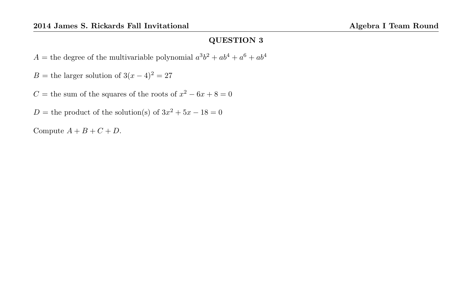$A =$  the degree of the multivariable polynomial  $a^3b^2 + ab^4 + a^6 + ab^4$ 

B = the larger solution of  $3(x-4)^2 = 27$ 

C = the sum of the squares of the roots of  $x^2 - 6x + 8 = 0$ 

D = the product of the solution(s) of  $3x^2 + 5x - 18 = 0$ 

Compute  $A + B + C + D$ .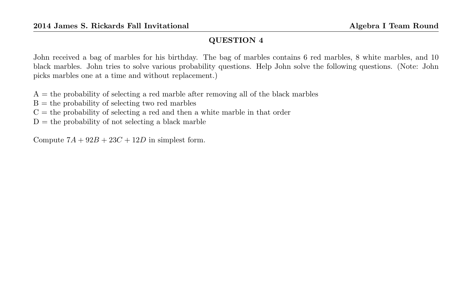John received a bag of marbles for his birthday. The bag of marbles contains 6 red marbles, 8 white marbles, and 10 black marbles. John tries to solve various probability questions. Help John solve the following questions. (Note: John picks marbles one at a time and without replacement.)

 $A =$  the probability of selecting a red marble after removing all of the black marbles

 $B =$  the probability of selecting two red marbles

 $C =$  the probability of selecting a red and then a white marble in that order

 $D =$  the probability of not selecting a black marble

Compute  $7A + 92B + 23C + 12D$  in simplest form.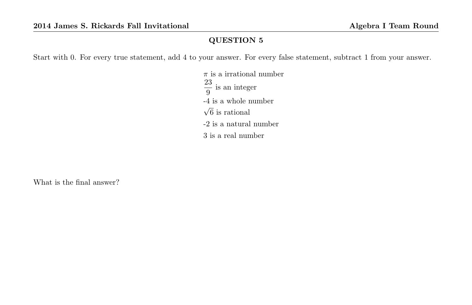Start with 0. For every true statement, add 4 to your answer. For every false statement, subtract 1 from your answer.

 $\pi$  is a irrational number 23  $\frac{1}{9}$  is an integer -4 is a whole number √ 6 is rational -2 is a natural number 3 is a real number

What is the final answer?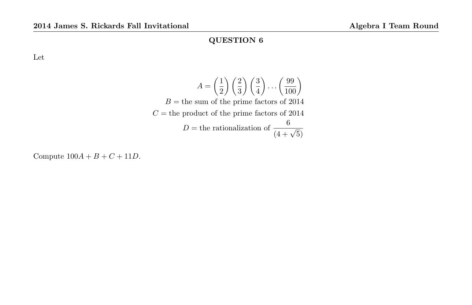Let

$$
A = \left(\frac{1}{2}\right)\left(\frac{2}{3}\right)\left(\frac{3}{4}\right)\cdots\left(\frac{99}{100}\right)
$$
  
\n
$$
B = \text{the sum of the prime factors of } 2014
$$
  
\n
$$
C = \text{the product of the prime factors of } 2014
$$
  
\n
$$
D = \text{the rationalization of } \frac{6}{(4+\sqrt{5})}
$$

Compute  $100A + B + C + 11D$ .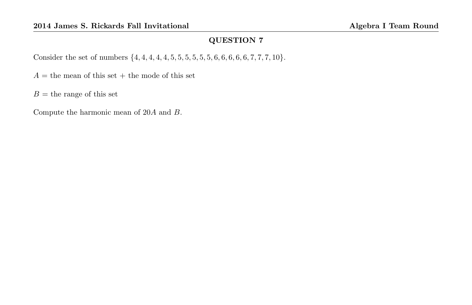Consider the set of numbers  $\{4, 4, 4, 4, 4, 5, 5, 5, 5, 5, 5, 6, 6, 6, 6, 6, 7, 7, 7, 10\}.$ 

 $A =$  the mean of this set + the mode of this set

 $B =$  the range of this set

Compute the harmonic mean of 20A and B.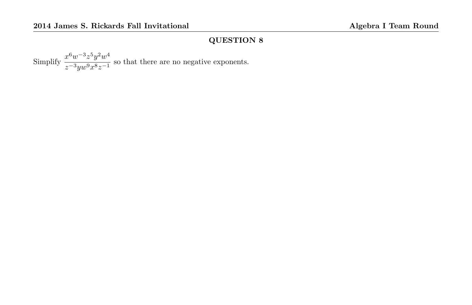Simplify  $\frac{x^6w^{-3}z^5y^2w^4}{x^3}$  $rac{x}{z-3yw^9x^8z^{-1}}$  so that there are no negative exponents.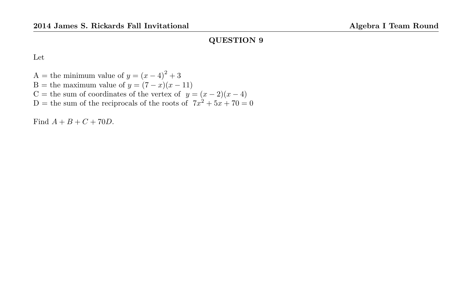Let

A = the minimum value of  $y = (x - 4)^2 + 3$ B = the maximum value of  $y = (7 - x)(x - 11)$ C = the sum of coordinates of the vertex of  $y = (x - 2)(x - 4)$ D = the sum of the reciprocals of the roots of  $7x^2 + 5x + 70 = 0$ 

Find  $A + B + C + 70D$ .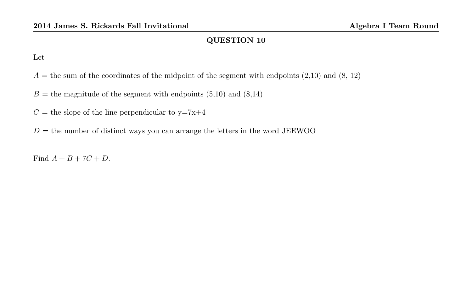Let

- $A =$  the sum of the coordinates of the midpoint of the segment with endpoints  $(2,10)$  and  $(8, 12)$
- $B =$  the magnitude of the segment with endpoints  $(5,10)$  and  $(8,14)$
- $C =$  the slope of the line perpendicular to y=7x+4
- $D =$  the number of distinct ways you can arrange the letters in the word JEEWOO

Find  $A + B + 7C + D$ .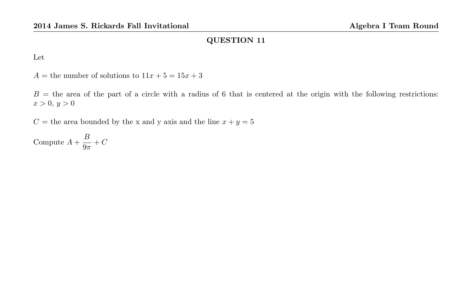Let

 $A =$  the number of solutions to  $11x + 5 = 15x + 3$ 

 $B =$  the area of the part of a circle with a radius of 6 that is centered at the origin with the following restrictions:  $x > 0, y > 0$ 

 $C =$  the area bounded by the x and y axis and the line  $x + y = 5$ 

Compute  $A + \frac{B}{2}$  $\frac{D}{9\pi} + C$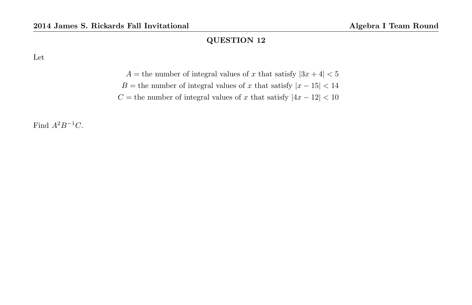Let

- $A=$  the number of integral values of  $x$  that satisfy  $\vert 3x+4\vert <5$
- $B={\rm the}$  number of integral values of  $x$  that satisfy  $|x-15|<14$

 $C={\rm the\ number\ of\ integral\ values\ of\ }x\ {\rm that\ satisfy\ } |4x-12|<10$ 

Find  $A^2B^{-1}C$ .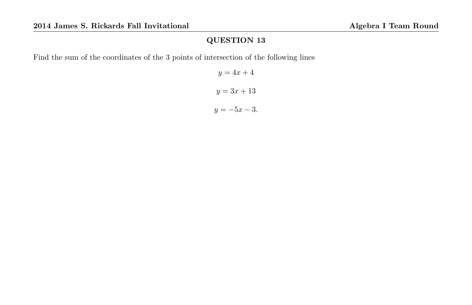Find the sum of the coordinates of the 3 points of intersection of the following lines

 $y = 4x + 4$  $y = 3x + 13$  $y = -5x - 3.$